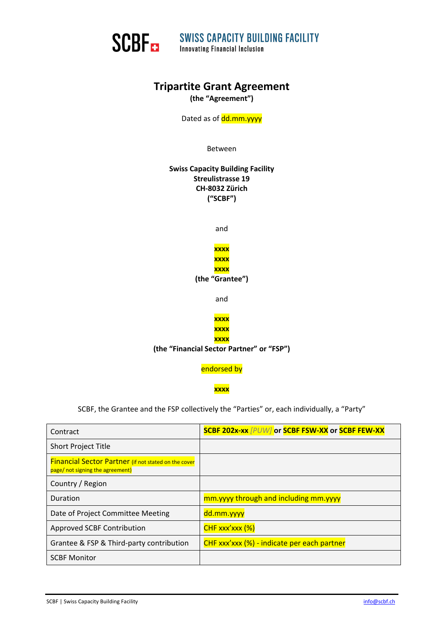

SCBF SWISS CAPACITY BUILDING FACILITY

# **Tripartite Grant Agreement**

**(the "Agreement")**

Dated as of dd.mm.yyyy

Between

**Swiss Capacity Building Facility Streulistrasse 19 CH‐8032 Zürich ("SCBF")**

and

**xxxx xxxx xxxx (the "Grantee")**

and



**(the "Financial Sector Partner" or "FSP")**

endorsed by

**xxxx** 

SCBF, the Grantee and the FSP collectively the "Parties" or, each individually, a "Party"

| Contract                                                                                        | SCBF 202x-xx [PUW] or SCBF FSW-XX or SCBF FEW-XX |
|-------------------------------------------------------------------------------------------------|--------------------------------------------------|
| <b>Short Project Title</b>                                                                      |                                                  |
| <b>Financial Sector Partner</b> (if not stated on the cover<br>page/ not signing the agreement) |                                                  |
| Country / Region                                                                                |                                                  |
| Duration                                                                                        | mm.yyyy through and including mm.yyyy            |
| Date of Project Committee Meeting                                                               | dd.mm.yyyy                                       |
| Approved SCBF Contribution                                                                      | $CHF$ xxx'xxx $(\%)$                             |
| Grantee & FSP & Third-party contribution                                                        | CHF xxx'xxx (%) - indicate per each partner      |
| <b>SCBF Monitor</b>                                                                             |                                                  |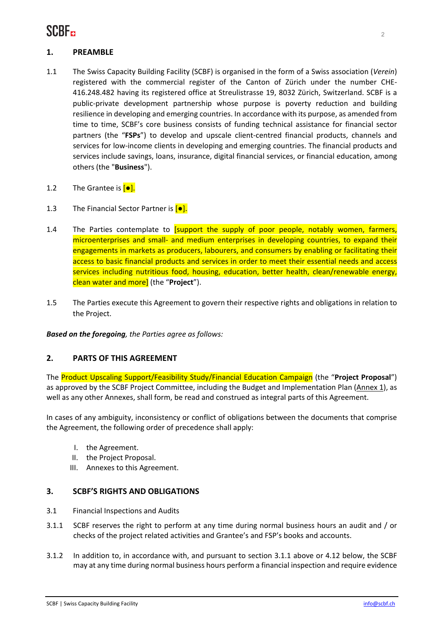

### **1. PREAMBLE**

- 1.1 The Swiss Capacity Building Facility (SCBF) is organised in the form of a Swiss association (*Verein*) registered with the commercial register of the Canton of Zürich under the number CHE‐ 416.248.482 having its registered office at Streulistrasse 19, 8032 Zürich, Switzerland. SCBF is a public‐private development partnership whose purpose is poverty reduction and building resilience in developing and emerging countries. In accordance with its purpose, as amended from time to time, SCBF's core business consists of funding technical assistance for financial sector partners (the "**FSPs**") to develop and upscale client‐centred financial products, channels and services for low-income clients in developing and emerging countries. The financial products and services include savings, loans, insurance, digital financial services, or financial education, among others (the "**Business**").
- 1.2 The Grantee is  $[•]$ .
- 1.3 The Financial Sector Partner is  $\boxed{\bullet}$ .
- 1.4 The Parties contemplate to *[support the supply of poor people, notably women, farmers,* microenterprises and small- and medium enterprises in developing countries, to expand their engagements in markets as producers, labourers, and consumers by enabling or facilitating their access to basic financial products and services in order to meet their essential needs and access services including nutritious food, housing, education, better health, clean/renewable energy, clean water and more] (the "**Project**").
- 1.5 The Parties execute this Agreement to govern their respective rights and obligations in relation to the Project.

*Based on the foregoing, the Parties agree as follows:*

#### **2. PARTS OF THIS AGREEMENT**

The Product Upscaling Support/Feasibility Study/Financial Education Campaign (the "**Project Proposal**") as approved by the SCBF Project Committee, including the Budget and Implementation Plan (Annex 1), as well as any other Annexes, shall form, be read and construed as integral parts of this Agreement.

In cases of any ambiguity, inconsistency or conflict of obligations between the documents that comprise the Agreement, the following order of precedence shall apply:

- I. the Agreement.
- II. the Project Proposal.
- III. Annexes to this Agreement.

#### **3. SCBF'S RIGHTS AND OBLIGATIONS**

- 3.1 Financial Inspections and Audits
- 3.1.1 SCBF reserves the right to perform at any time during normal business hours an audit and / or checks of the project related activities and Grantee's and FSP's books and accounts.
- 3.1.2 In addition to, in accordance with, and pursuant to section 3.1.1 above or 4.12 below, the SCBF may at any time during normal business hours perform a financial inspection and require evidence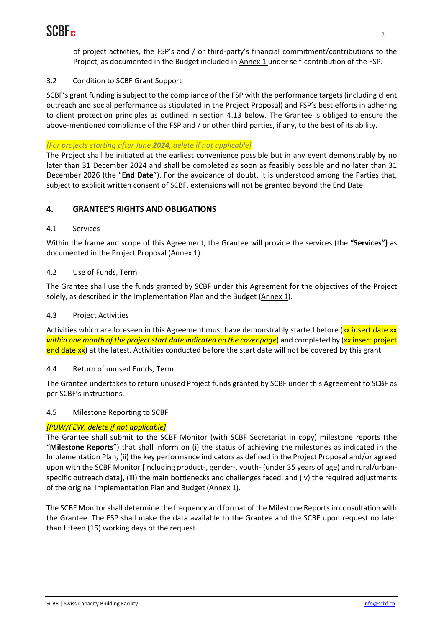

of project activities, the FSP's and / or third‐party's financial commitment/contributions to the Project, as documented in the Budget included in Annex 1 under self‐contribution of the FSP.

## 3.2 Condition to SCBF Grant Support

SCBF's grant funding is subject to the compliance of the FSP with the performance targets (including client outreach and social performance as stipulated in the Project Proposal) and FSP's best efforts in adhering to client protection principles as outlined in section 4.13 below. The Grantee is obliged to ensure the above-mentioned compliance of the FSP and / or other third parties, if any, to the best of its ability.

## *[For projects starting after June 2024, delete if not applicable]*

The Project shall be initiated at the earliest convenience possible but in any event demonstrably by no later than 31 December 2024 and shall be completed as soon as feasibly possible and no later than 31 December 2026 (the "**End Date**"). For the avoidance of doubt, it is understood among the Parties that, subject to explicit written consent of SCBF, extensions will not be granted beyond the End Date.

## **4. GRANTEE'S RIGHTS AND OBLIGATIONS**

## 4.1 Services

Within the frame and scope of this Agreement, the Grantee will provide the services (the **"Services")** as documented in the Project Proposal (Annex 1).

## 4.2 Use of Funds, Term

The Grantee shall use the funds granted by SCBF under this Agreement for the objectives of the Project solely, as described in the Implementation Plan and the Budget (Annex 1).

## 4.3 Project Activities

Activities which are foreseen in this Agreement must have demonstrably started before (xx insert date xx *within one month of the project start date indicated on the cover page*) and completed by (xx insert project end date xx) at the latest. Activities conducted before the start date will not be covered by this grant.

## 4.4 Return of unused Funds, Term

The Grantee undertakes to return unused Project funds granted by SCBF under this Agreement to SCBF as per SCBF's instructions.

## 4.5 Milestone Reporting to SCBF

## *[PUW/FEW, delete if not applicable]*

The Grantee shall submit to the SCBF Monitor (with SCBF Secretariat in copy) milestone reports (the "**Milestone Reports**") that shall inform on (i) the status of achieving the milestones as indicated in the Implementation Plan, (ii) the key performance indicators as defined in the Project Proposal and/or agreed upon with the SCBF Monitor [including product-, gender-, youth- (under 35 years of age) and rural/urbanspecific outreach data], (iii) the main bottlenecks and challenges faced, and (iv) the required adjustments of the original Implementation Plan and Budget (Annex 1).

The SCBF Monitor shall determine the frequency and format of the Milestone Reports in consultation with the Grantee. The FSP shall make the data available to the Grantee and the SCBF upon request no later than fifteen (15) working days of the request.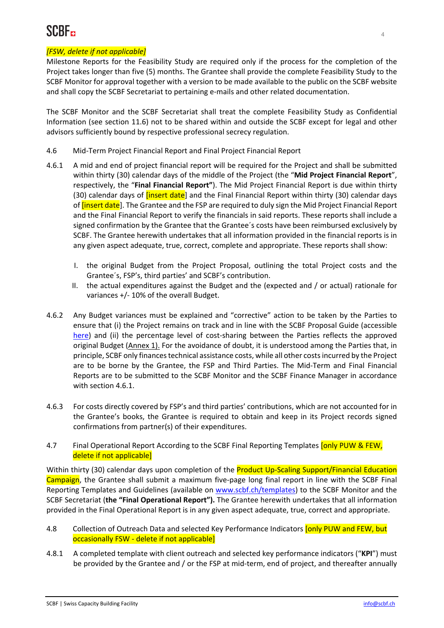## *[FSW, delete if not applicable]*

Milestone Reports for the Feasibility Study are required only if the process for the completion of the Project takes longer than five (5) months. The Grantee shall provide the complete Feasibility Study to the SCBF Monitor for approval together with a version to be made available to the public on the SCBF website and shall copy the SCBF Secretariat to pertaining e‐mails and other related documentation.

The SCBF Monitor and the SCBF Secretariat shall treat the complete Feasibility Study as Confidential Information (see section 11.6) not to be shared within and outside the SCBF except for legal and other advisors sufficiently bound by respective professional secrecy regulation.

- 4.6 Mid‐Term Project Financial Report and Final Project Financial Report
- 4.6.1 A mid and end of project financial report will be required for the Project and shall be submitted within thirty (30) calendar days of the middle of the Project (the "**Mid Project Financial Report**", respectively, the "**Final Financial Report"**). The Mid Project Financial Report is due within thirty (30) calendar days of *[insert date*] and the Final Financial Report within thirty (30) calendar days of *[insert date*]. The Grantee and the FSP are required to duly sign the Mid Project Financial Report and the Final Financial Report to verify the financials in said reports. These reports shall include a signed confirmation by the Grantee that the Grantee´s costs have been reimbursed exclusively by SCBF. The Grantee herewith undertakes that all information provided in the financial reports is in any given aspect adequate, true, correct, complete and appropriate. These reports shall show:
	- the original Budget from the Project Proposal, outlining the total Project costs and the Grantee´s, FSP's, third parties' and SCBF's contribution.
	- II. the actual expenditures against the Budget and the (expected and / or actual) rationale for variances +/‐ 10% of the overall Budget.
- 4.6.2 Any Budget variances must be explained and "corrective" action to be taken by the Parties to ensure that (i) the Project remains on track and in line with the SCBF Proposal Guide (accessible here) and (ii) the percentage level of cost-sharing between the Parties reflects the approved original Budget (Annex 1). For the avoidance of doubt, it is understood among the Parties that, in principle, SCBF only financestechnical assistance costs, while all other costsincurred by the Project are to be borne by the Grantee, the FSP and Third Parties. The Mid‐Term and Final Financial Reports are to be submitted to the SCBF Monitor and the SCBF Finance Manager in accordance with section 4.6.1.
- 4.6.3 For costs directly covered by FSP's and third parties' contributions, which are not accounted for in the Grantee's books, the Grantee is required to obtain and keep in its Project records signed confirmations from partner(s) of their expenditures.
- 4.7 Final Operational Report According to the SCBF Final Reporting Templates [only PUW & FEW, delete if not applicable]

Within thirty (30) calendar days upon completion of the **Product Up-Scaling Support/Financial Education** Campaign, the Grantee shall submit a maximum five-page long final report in line with the SCBF Final Reporting Templates and Guidelines (available on www.scbf.ch/templates) to the SCBF Monitor and the SCBF Secretariat (**the "Final Operational Report").** The Grantee herewith undertakes that all information provided in the Final Operational Report is in any given aspect adequate, true, correct and appropriate.

- 4.8 Collection of Outreach Data and selected Key Performance Indicators [only PUW and FEW, but occasionally FSW ‐ delete if not applicable]
- 4.8.1 A completed template with client outreach and selected key performance indicators ("**KPI**") must be provided by the Grantee and / or the FSP at mid-term, end of project, and thereafter annually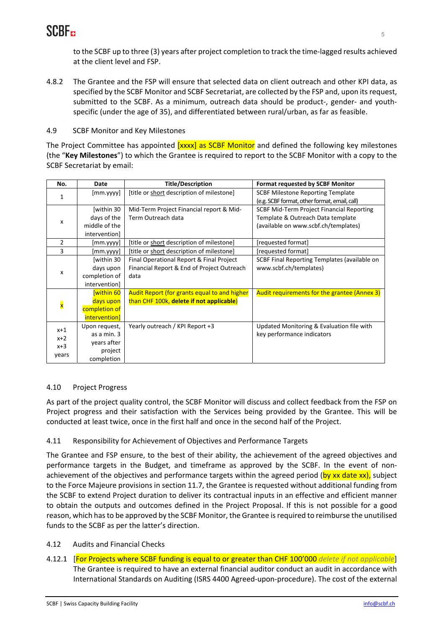

to the SCBF up to three (3) years after project completion to track the time‐lagged results achieved at the client level and FSP.

4.8.2 The Grantee and the FSP will ensure that selected data on client outreach and other KPI data, as specified by the SCBF Monitor and SCBF Secretariat, are collected by the FSP and, upon its request, submitted to the SCBF. As a minimum, outreach data should be product-, gender- and youthspecific (under the age of 35), and differentiated between rural/urban, as far as feasible.

#### 4.9 SCBF Monitor and Key Milestones

The Project Committee has appointed [xxxx] as SCBF Monitor and defined the following key milestones (the "**Key Milestones**") to which the Grantee is required to report to the SCBF Monitor with a copy to the SCBF Secretariat by email:

| No.                     | Date                 | <b>Title/Description</b>                     | <b>Format requested by SCBF Monitor</b>       |
|-------------------------|----------------------|----------------------------------------------|-----------------------------------------------|
| $\mathbf{1}$            | [mm.yyyy]            | [title or short description of milestone]    | <b>SCBF Milestone Reporting Template</b>      |
|                         |                      |                                              | (e.g. SCBF format, other format, email, call) |
| X                       | [within 30           | Mid-Term Project Financial report & Mid-     | SCBF Mid-Term Project Financial Reporting     |
|                         | days of the          | Term Outreach data                           | Template & Outreach Data template             |
|                         | middle of the        |                                              | (available on www.scbf.ch/templates)          |
|                         | intervention]        |                                              |                                               |
| $\overline{2}$          | [mm.yyyy]            | [title or short description of milestone]    | [requested format]                            |
| 3                       | [mm.yyyy]            | [title or short description of milestone]    | [requested format]                            |
| x                       | [within 30           | Final Operational Report & Final Project     | SCBF Final Reporting Templates (available on  |
|                         | days upon            | Financial Report & End of Project Outreach   | www.scbf.ch/templates)                        |
|                         | completion of        | data                                         |                                               |
|                         | intervention]        |                                              |                                               |
| $\overline{\mathbf{x}}$ | within 60            | Audit Report (for grants equal to and higher | Audit requirements for the grantee (Annex 3)  |
|                         | days upon            | than CHF 100k, delete if not applicable)     |                                               |
|                         | completion of        |                                              |                                               |
|                         | <i>intervention]</i> |                                              |                                               |
| $x+1$<br>$x+2$          | Upon request,        | Yearly outreach / KPI Report +3              | Updated Monitoring & Evaluation file with     |
|                         | as a min. 3          |                                              | key performance indicators                    |
| $x+3$                   | years after          |                                              |                                               |
|                         | project              |                                              |                                               |
| years                   | completion           |                                              |                                               |

#### 4.10 Project Progress

As part of the project quality control, the SCBF Monitor will discuss and collect feedback from the FSP on Project progress and their satisfaction with the Services being provided by the Grantee. This will be conducted at least twice, once in the first half and once in the second half of the Project.

#### 4.11 Responsibility for Achievement of Objectives and Performance Targets

The Grantee and FSP ensure, to the best of their ability, the achievement of the agreed objectives and performance targets in the Budget, and timeframe as approved by the SCBF. In the event of non‐ achievement of the objectives and performance targets within the agreed period (by xx date xx), subject to the Force Majeure provisions in section 11.7, the Grantee is requested without additional funding from the SCBF to extend Project duration to deliver its contractual inputs in an effective and efficient manner to obtain the outputs and outcomes defined in the Project Proposal. If this is not possible for a good reason, which has to be approved by the SCBF Monitor, the Grantee is required to reimburse the unutilised funds to the SCBF as per the latter's direction.

#### 4.12 Audits and Financial Checks

4.12.1 [For Projects where SCBF funding is equal to or greater than CHF 100'000 *delete if not applicable*] The Grantee is required to have an external financial auditor conduct an audit in accordance with International Standards on Auditing (ISRS 4400 Agreed‐upon‐procedure). The cost of the external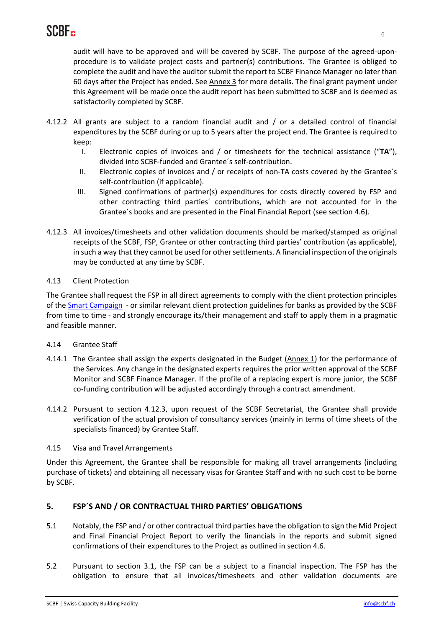audit will have to be approved and will be covered by SCBF. The purpose of the agreed-uponprocedure is to validate project costs and partner(s) contributions. The Grantee is obliged to complete the audit and have the auditor submit the report to SCBF Finance Manager no later than 60 days after the Project has ended. See Annex 3 for more details. The final grant payment under this Agreement will be made once the audit report has been submitted to SCBF and is deemed as satisfactorily completed by SCBF.

- 4.12.2 All grants are subject to a random financial audit and / or a detailed control of financial expenditures by the SCBF during or up to 5 years after the project end. The Grantee is required to keep:
	- I. Electronic copies of invoices and / or timesheets for the technical assistance ("**TA**"), divided into SCBF‐funded and Grantee´s self‐contribution.
	- II. Electronic copies of invoices and / or receipts of non-TA costs covered by the Grantee's self-contribution (if applicable).
	- III. Signed confirmations of partner(s) expenditures for costs directly covered by FSP and other contracting third parties´ contributions, which are not accounted for in the Grantee´s books and are presented in the Final Financial Report (see section 4.6).
- 4.12.3 All invoices/timesheets and other validation documents should be marked/stamped as original receipts of the SCBF, FSP, Grantee or other contracting third parties' contribution (as applicable), in such a way that they cannot be used for other settlements. A financial inspection of the originals may be conducted at any time by SCBF.

### 4.13 Client Protection

The Grantee shall request the FSP in all direct agreements to comply with the client protection principles of the **Smart Campaign** - or similar relevant client protection guidelines for banks as provided by the SCBF from time to time - and strongly encourage its/their management and staff to apply them in a pragmatic and feasible manner.

#### 4.14 Grantee Staff

- 4.14.1 The Grantee shall assign the experts designated in the Budget (Annex 1) for the performance of the Services. Any change in the designated experts requires the prior written approval of the SCBF Monitor and SCBF Finance Manager. If the profile of a replacing expert is more junior, the SCBF co-funding contribution will be adjusted accordingly through a contract amendment.
- 4.14.2 Pursuant to section 4.12.3, upon request of the SCBF Secretariat, the Grantee shall provide verification of the actual provision of consultancy services (mainly in terms of time sheets of the specialists financed) by Grantee Staff.

#### 4.15 Visa and Travel Arrangements

Under this Agreement, the Grantee shall be responsible for making all travel arrangements (including purchase of tickets) and obtaining all necessary visas for Grantee Staff and with no such cost to be borne by SCBF.

### **5. FSP´S AND / OR CONTRACTUAL THIRD PARTIES' OBLIGATIONS**

- 5.1 Notably, the FSP and / or other contractual third parties have the obligation to sign the Mid Project and Final Financial Project Report to verify the financials in the reports and submit signed confirmations of their expenditures to the Project as outlined in section 4.6.
- 5.2 Pursuant to section 3.1, the FSP can be a subject to a financial inspection. The FSP has the obligation to ensure that all invoices/timesheets and other validation documents are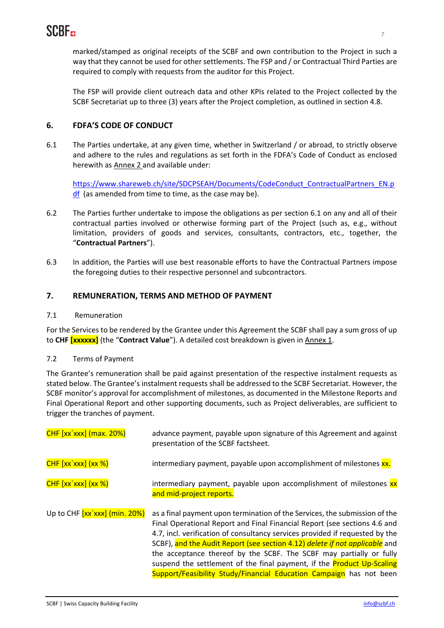marked/stamped as original receipts of the SCBF and own contribution to the Project in such a way that they cannot be used for other settlements. The FSP and / or Contractual Third Parties are required to comply with requests from the auditor for this Project.

The FSP will provide client outreach data and other KPIs related to the Project collected by the SCBF Secretariat up to three (3) years after the Project completion, as outlined in section 4.8.

## **6. FDFA'S CODE OF CONDUCT**

6.1 The Parties undertake, at any given time, whether in Switzerland / or abroad, to strictly observe and adhere to the rules and regulations as set forth in the FDFA's Code of Conduct as enclosed herewith as Annex 2 and available under:

https://www.shareweb.ch/site/SDCPSEAH/Documents/CodeConduct\_ContractualPartners\_EN.p df (as amended from time to time, as the case may be).

- 6.2 The Parties further undertake to impose the obligations as per section 6.1 on any and all of their contractual parties involved or otherwise forming part of the Project (such as, e.g., without limitation, providers of goods and services, consultants, contractors, etc., together, the "**Contractual Partners**").
- 6.3 In addition, the Parties will use best reasonable efforts to have the Contractual Partners impose the foregoing duties to their respective personnel and subcontractors.

### **7. REMUNERATION, TERMS AND METHOD OF PAYMENT**

#### 7.1 Remuneration

For the Services to be rendered by the Grantee under this Agreement the SCBF shall pay a sum gross of up to **CHF [xxxxxx]** (the "**Contract Value**"). A detailed cost breakdown is given in Annex 1.

#### 7.2 Terms of Payment

The Grantee's remuneration shall be paid against presentation of the respective instalment requests as stated below. The Grantee's instalment requests shall be addressed to the SCBF Secretariat. However, the SCBF monitor's approval for accomplishment of milestones, as documented in the Milestone Reports and Final Operational Report and other supporting documents, such as Project deliverables, are sufficient to trigger the tranches of payment.

| $CHF$ $[xx'xxx]$ (max. 20%)   | advance payment, payable upon signature of this Agreement and against<br>presentation of the SCBF factsheet.                                                                                                                                                                                                                                                                                                                                                                                                                                          |  |
|-------------------------------|-------------------------------------------------------------------------------------------------------------------------------------------------------------------------------------------------------------------------------------------------------------------------------------------------------------------------------------------------------------------------------------------------------------------------------------------------------------------------------------------------------------------------------------------------------|--|
| $CHF [xx'xxx]$ $(xx %)$       | intermediary payment, payable upon accomplishment of milestones xx.                                                                                                                                                                                                                                                                                                                                                                                                                                                                                   |  |
| $CHF [xx'xxx]$ $(xx %)$       | intermediary payment, payable upon accomplishment of milestones xx<br>and mid-project reports.                                                                                                                                                                                                                                                                                                                                                                                                                                                        |  |
| Up to CHF [xx'xxx] (min. 20%) | as a final payment upon termination of the Services, the submission of the<br>Final Operational Report and Final Financial Report (see sections 4.6 and<br>4.7, incl. verification of consultancy services provided if requested by the<br>SCBF), and the Audit Report (see section 4.12) delete if not applicable and<br>the acceptance thereof by the SCBF. The SCBF may partially or fully<br>suspend the settlement of the final payment, if the <b>Product Up-Scaling</b><br>Support/Feasibility Study/Financial Education Campaign has not been |  |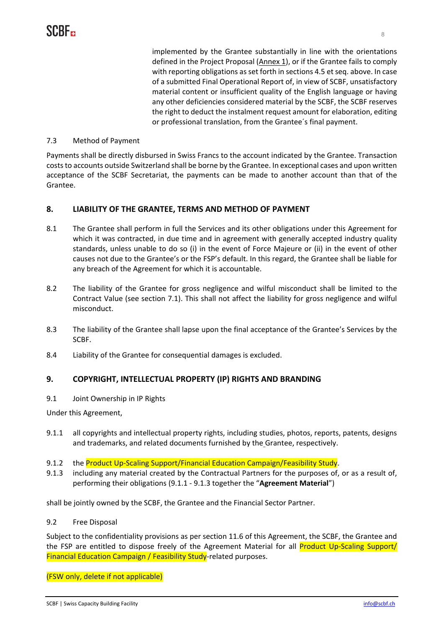implemented by the Grantee substantially in line with the orientations defined in the Project Proposal (Annex 1), or if the Grantee fails to comply with reporting obligations as set forth in sections 4.5 et seq. above. In case of a submitted Final Operational Report of, in view of SCBF, unsatisfactory material content or insufficient quality of the English language or having any other deficiencies considered material by the SCBF, the SCBF reserves the right to deduct the instalment request amount for elaboration, editing or professional translation, from the Grantee´s final payment.

#### 7.3 Method of Payment

Payments shall be directly disbursed in Swiss Francs to the account indicated by the Grantee. Transaction coststo accounts outside Switzerland shall be borne by the Grantee. In exceptional cases and upon written acceptance of the SCBF Secretariat, the payments can be made to another account than that of the Grantee.

### **8. LIABILITY OF THE GRANTEE, TERMS AND METHOD OF PAYMENT**

- 8.1 The Grantee shall perform in full the Services and its other obligations under this Agreement for which it was contracted, in due time and in agreement with generally accepted industry quality standards, unless unable to do so (i) in the event of Force Majeure or (ii) in the event of other causes not due to the Grantee's or the FSP's default. In this regard, the Grantee shall be liable for any breach of the Agreement for which it is accountable.
- 8.2 The liability of the Grantee for gross negligence and wilful misconduct shall be limited to the Contract Value (see section 7.1). This shall not affect the liability for gross negligence and wilful misconduct.
- 8.3 The liability of the Grantee shall lapse upon the final acceptance of the Grantee's Services by the SCBF.
- 8.4 Liability of the Grantee for consequential damages is excluded.

### **9. COPYRIGHT, INTELLECTUAL PROPERTY (IP) RIGHTS AND BRANDING**

9.1 Joint Ownership in IP Rights

Under this Agreement,

- 9.1.1 all copyrights and intellectual property rights, including studies, photos, reports, patents, designs and trademarks, and related documents furnished by the Grantee, respectively.
- 9.1.2 the Product Up-Scaling Support/Financial Education Campaign/Feasibility Study.
- 9.1.3 including any material created by the Contractual Partners for the purposes of, or as a result of, performing their obligations (9.1.1 ‐ 9.1.3 together the "**Agreement Material**")

shall be jointly owned by the SCBF, the Grantee and the Financial Sector Partner.

9.2 Free Disposal

Subject to the confidentiality provisions as per section 11.6 of this Agreement, the SCBF, the Grantee and the FSP are entitled to dispose freely of the Agreement Material for all **Product Up-Scaling Support/** Financial Education Campaign / Feasibility Study-related purposes.

(FSW only, delete if not applicable)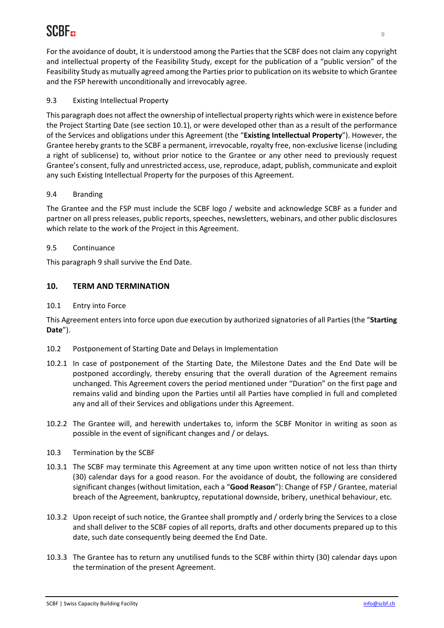For the avoidance of doubt, it is understood among the Parties that the SCBF does not claim any copyright and intellectual property of the Feasibility Study, except for the publication of a "public version" of the Feasibility Study as mutually agreed among the Parties prior to publication on its website to which Grantee and the FSP herewith unconditionally and irrevocably agree.

## 9.3 Existing Intellectual Property

This paragraph does not affect the ownership of intellectual property rights which were in existence before the Project Starting Date (see section 10.1), or were developed other than as a result of the performance of the Services and obligations under this Agreement (the "**Existing Intellectual Property**"). However, the Grantee hereby grants to the SCBF a permanent, irrevocable, royalty free, non‐exclusive license (including a right of sublicense) to, without prior notice to the Grantee or any other need to previously request Grantee's consent, fully and unrestricted access, use, reproduce, adapt, publish, communicate and exploit any such Existing Intellectual Property for the purposes of this Agreement.

### 9.4 Branding

The Grantee and the FSP must include the SCBF logo / website and acknowledge SCBF as a funder and partner on all press releases, public reports, speeches, newsletters, webinars, and other public disclosures which relate to the work of the Project in this Agreement.

### 9.5 Continuance

This paragraph 9 shall survive the End Date.

### **10. TERM AND TERMINATION**

#### 10.1 Entry into Force

This Agreement entersinto force upon due execution by authorized signatories of all Parties(the "**Starting Date**").

- 10.2 Postponement of Starting Date and Delays in Implementation
- 10.2.1 In case of postponement of the Starting Date, the Milestone Dates and the End Date will be postponed accordingly, thereby ensuring that the overall duration of the Agreement remains unchanged. This Agreement covers the period mentioned under "Duration" on the first page and remains valid and binding upon the Parties until all Parties have complied in full and completed any and all of their Services and obligations under this Agreement.
- 10.2.2 The Grantee will, and herewith undertakes to, inform the SCBF Monitor in writing as soon as possible in the event of significant changes and / or delays.
- 10.3 Termination by the SCBF
- 10.3.1 The SCBF may terminate this Agreement at any time upon written notice of not less than thirty (30) calendar days for a good reason. For the avoidance of doubt, the following are considered significant changes (without limitation, each a "**Good Reason**"): Change of FSP / Grantee, material breach of the Agreement, bankruptcy, reputational downside, bribery, unethical behaviour, etc.
- 10.3.2 Upon receipt of such notice, the Grantee shall promptly and / orderly bring the Services to a close and shall deliver to the SCBF copies of all reports, drafts and other documents prepared up to this date, such date consequently being deemed the End Date.
- 10.3.3 The Grantee has to return any unutilised funds to the SCBF within thirty (30) calendar days upon the termination of the present Agreement.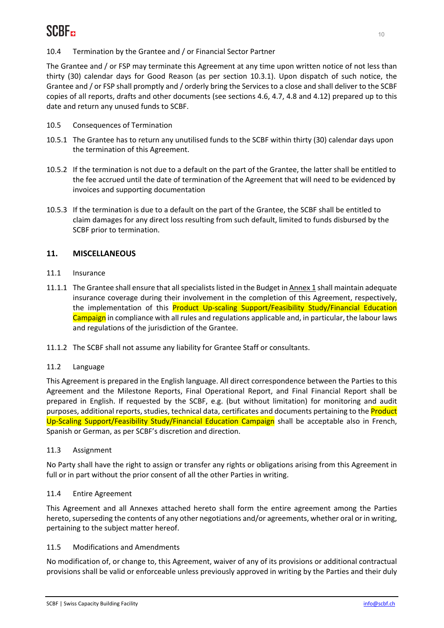The Grantee and / or FSP may terminate this Agreement at any time upon written notice of not less than thirty (30) calendar days for Good Reason (as per section 10.3.1). Upon dispatch of such notice, the Grantee and / or FSP shall promptly and / orderly bring the Services to a close and shall deliver to the SCBF copies of all reports, drafts and other documents (see sections 4.6, 4.7, 4.8 and 4.12) prepared up to this date and return any unused funds to SCBF.

- 10.5 Consequences of Termination
- 10.5.1 The Grantee has to return any unutilised funds to the SCBF within thirty (30) calendar days upon the termination of this Agreement.
- 10.5.2 If the termination is not due to a default on the part of the Grantee, the latter shall be entitled to the fee accrued until the date of termination of the Agreement that will need to be evidenced by invoices and supporting documentation
- 10.5.3 If the termination is due to a default on the part of the Grantee, the SCBF shall be entitled to claim damages for any direct loss resulting from such default, limited to funds disbursed by the SCBF prior to termination.

## **11. MISCELLANEOUS**

- 11.1 Insurance
- 11.1.1 The Grantee shall ensure that allspecialistslisted in the Budget in Annex 1 shall maintain adequate insurance coverage during their involvement in the completion of this Agreement, respectively, the implementation of this Product Up-scaling Support/Feasibility Study/Financial Education Campaign in compliance with all rules and regulations applicable and, in particular, the labour laws and regulations of the jurisdiction of the Grantee.
- 11.1.2 The SCBF shall not assume any liability for Grantee Staff or consultants.

## 11.2 Language

This Agreement is prepared in the English language. All direct correspondence between the Parties to this Agreement and the Milestone Reports, Final Operational Report, and Final Financial Report shall be prepared in English. If requested by the SCBF, e.g. (but without limitation) for monitoring and audit purposes, additional reports, studies, technical data, certificates and documents pertaining to the Product Up-Scaling Support/Feasibility Study/Financial Education Campaign shall be acceptable also in French, Spanish or German, as per SCBF's discretion and direction.

### 11.3 Assignment

No Party shall have the right to assign or transfer any rights or obligations arising from this Agreement in full or in part without the prior consent of all the other Parties in writing.

### 11.4 Entire Agreement

This Agreement and all Annexes attached hereto shall form the entire agreement among the Parties hereto, superseding the contents of any other negotiations and/or agreements, whether oral or in writing, pertaining to the subject matter hereof.

### 11.5 Modifications and Amendments

No modification of, or change to, this Agreement, waiver of any of its provisions or additional contractual provisions shall be valid or enforceable unless previously approved in writing by the Parties and their duly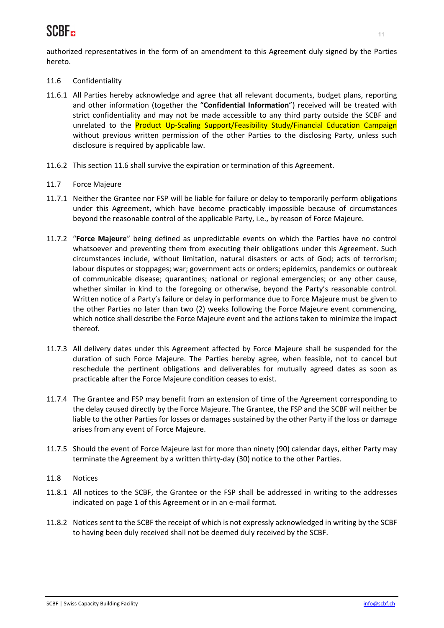authorized representatives in the form of an amendment to this Agreement duly signed by the Parties hereto.

- 11.6 Confidentiality
- 11.6.1 All Parties hereby acknowledge and agree that all relevant documents, budget plans, reporting and other information (together the "**Confidential Information**") received will be treated with strict confidentiality and may not be made accessible to any third party outside the SCBF and unrelated to the Product Up-Scaling Support/Feasibility Study/Financial Education Campaign without previous written permission of the other Parties to the disclosing Party, unless such disclosure is required by applicable law.
- 11.6.2 This section 11.6 shall survive the expiration or termination of this Agreement.
- 11.7 Force Majeure
- 11.7.1 Neither the Grantee nor FSP will be liable for failure or delay to temporarily perform obligations under this Agreement, which have become practicably impossible because of circumstances beyond the reasonable control of the applicable Party, i.e., by reason of Force Majeure.
- 11.7.2 "**Force Majeure**" being defined as unpredictable events on which the Parties have no control whatsoever and preventing them from executing their obligations under this Agreement. Such circumstances include, without limitation, natural disasters or acts of God; acts of terrorism; labour disputes or stoppages; war; government acts or orders; epidemics, pandemics or outbreak of communicable disease; quarantines; national or regional emergencies; or any other cause, whether similar in kind to the foregoing or otherwise, beyond the Party's reasonable control. Written notice of a Party's failure or delay in performance due to Force Majeure must be given to the other Parties no later than two (2) weeks following the Force Majeure event commencing, which notice shall describe the Force Majeure event and the actions taken to minimize the impact thereof.
- 11.7.3 All delivery dates under this Agreement affected by Force Majeure shall be suspended for the duration of such Force Majeure. The Parties hereby agree, when feasible, not to cancel but reschedule the pertinent obligations and deliverables for mutually agreed dates as soon as practicable after the Force Majeure condition ceases to exist.
- 11.7.4 The Grantee and FSP may benefit from an extension of time of the Agreement corresponding to the delay caused directly by the Force Majeure. The Grantee, the FSP and the SCBF will neither be liable to the other Parties for losses or damages sustained by the other Party if the loss or damage arises from any event of Force Majeure.
- 11.7.5 Should the event of Force Majeure last for more than ninety (90) calendar days, either Party may terminate the Agreement by a written thirty‐day (30) notice to the other Parties.
- 11.8 Notices
- 11.8.1 All notices to the SCBF, the Grantee or the FSP shall be addressed in writing to the addresses indicated on page 1 of this Agreement or in an e-mail format.
- 11.8.2 Notices sent to the SCBF the receipt of which is not expressly acknowledged in writing by the SCBF to having been duly received shall not be deemed duly received by the SCBF.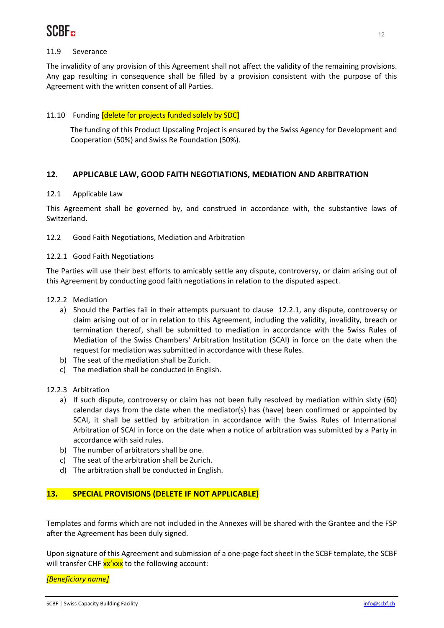

#### 11.9 Severance

The invalidity of any provision of this Agreement shall not affect the validity of the remaining provisions. Any gap resulting in consequence shall be filled by a provision consistent with the purpose of this Agreement with the written consent of all Parties.

#### 11.10 Funding [delete for projects funded solely by SDC]

The funding of this Product Upscaling Project is ensured by the Swiss Agency for Development and Cooperation (50%) and Swiss Re Foundation (50%).

#### **12. APPLICABLE LAW, GOOD FAITH NEGOTIATIONS, MEDIATION AND ARBITRATION**

#### 12.1 Applicable Law

This Agreement shall be governed by, and construed in accordance with, the substantive laws of Switzerland.

12.2 Good Faith Negotiations, Mediation and Arbitration

#### 12.2.1 Good Faith Negotiations

The Parties will use their best efforts to amicably settle any dispute, controversy, or claim arising out of this Agreement by conducting good faith negotiations in relation to the disputed aspect.

- 12.2.2 Mediation
	- a) Should the Parties fail in their attempts pursuant to clause 12.2.1, any dispute, controversy or claim arising out of or in relation to this Agreement, including the validity, invalidity, breach or termination thereof, shall be submitted to mediation in accordance with the Swiss Rules of Mediation of the Swiss Chambers' Arbitration Institution (SCAI) in force on the date when the request for mediation was submitted in accordance with these Rules.
	- b) The seat of the mediation shall be Zurich.
	- c) The mediation shall be conducted in English.

#### 12.2.3 Arbitration

- a) If such dispute, controversy or claim has not been fully resolved by mediation within sixty (60) calendar days from the date when the mediator(s) has (have) been confirmed or appointed by SCAI, it shall be settled by arbitration in accordance with the Swiss Rules of International Arbitration of SCAI in force on the date when a notice of arbitration was submitted by a Party in accordance with said rules.
- b) The number of arbitrators shall be one.
- c) The seat of the arbitration shall be Zurich.
- d) The arbitration shall be conducted in English.

### **13. SPECIAL PROVISIONS (DELETE IF NOT APPLICABLE)**

Templates and forms which are not included in the Annexes will be shared with the Grantee and the FSP after the Agreement has been duly signed.

Upon signature of this Agreement and submission of a one‐page fact sheet in the SCBF template, the SCBF will transfer CHF  $xx'xxx$  to the following account:

*[Beneficiary name]*